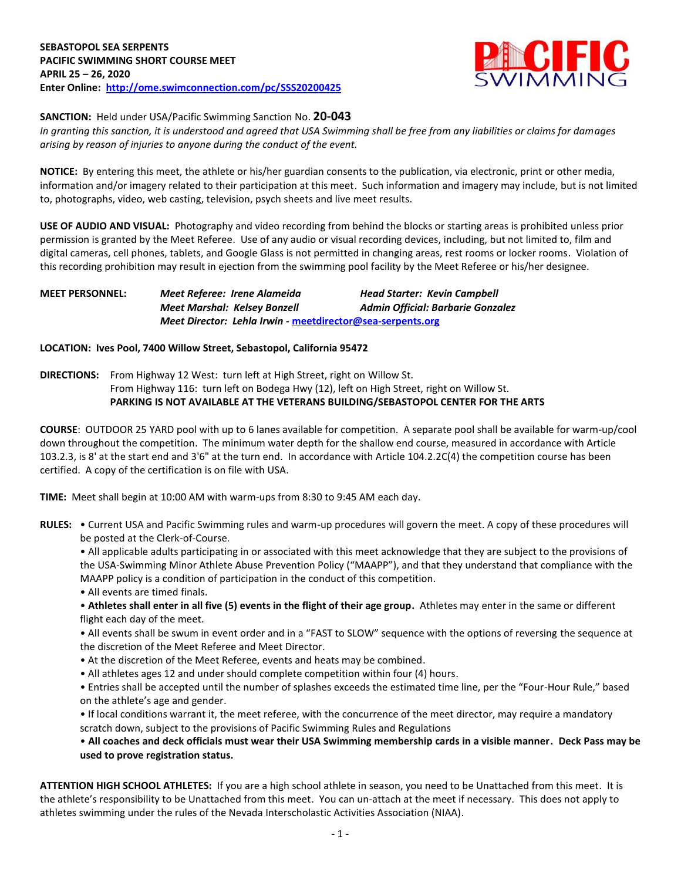

## **SANCTION:** Held under USA/Pacific Swimming Sanction No. **20-043**

*In granting this sanction, it is understood and agreed that USA Swimming shall be free from any liabilities or claims for damages arising by reason of injuries to anyone during the conduct of the event.*

**NOTICE:** By entering this meet, the athlete or his/her guardian consents to the publication, via electronic, print or other media, information and/or imagery related to their participation at this meet. Such information and imagery may include, but is not limited to, photographs, video, web casting, television, psych sheets and live meet results.

**USE OF AUDIO AND VISUAL:** Photography and video recording from behind the blocks or starting areas is prohibited unless prior permission is granted by the Meet Referee. Use of any audio or visual recording devices, including, but not limited to, film and digital cameras, cell phones, tablets, and Google Glass is not permitted in changing areas, rest rooms or locker rooms. Violation of this recording prohibition may result in ejection from the swimming pool facility by the Meet Referee or his/her designee.

# **MEET PERSONNEL:** *Meet Referee: Irene Alameida Head Starter: Kevin Campbell Meet Marshal: Kelsey Bonzell Admin Official: Barbarie Gonzalez Meet Director: Lehla Irwin* **- [meetdirector@sea-serpents.org](file:///C:/Users/ad1/Downloads/meetdirector@sea-serpents.org)**

#### **LOCATION: Ives Pool, 7400 Willow Street, Sebastopol, California 95472**

**DIRECTIONS:** From Highway 12 West: turn left at High Street, right on Willow St. From Highway 116: turn left on Bodega Hwy (12), left on High Street, right on Willow St. **PARKING IS NOT AVAILABLE AT THE VETERANS BUILDING/SEBASTOPOL CENTER FOR THE ARTS**

**COURSE**: OUTDOOR 25 YARD pool with up to 6 lanes available for competition. A separate pool shall be available for warm-up/cool down throughout the competition. The minimum water depth for the shallow end course, measured in accordance with Article 103.2.3, is 8' at the start end and 3'6" at the turn end. In accordance with Article 104.2.2C(4) the competition course has been certified. A copy of the certification is on file with USA.

**TIME:** Meet shall begin at 10:00 AM with warm-ups from 8:30 to 9:45 AM each day.

**RULES:** • Current USA and Pacific Swimming rules and warm-up procedures will govern the meet. A copy of these procedures will be posted at the Clerk-of-Course.

• All applicable adults participating in or associated with this meet acknowledge that they are subject to the provisions of the USA-Swimming Minor Athlete Abuse Prevention Policy ("MAAPP"), and that they understand that compliance with the MAAPP policy is a condition of participation in the conduct of this competition.

• All events are timed finals.

• **Athletes shall enter in all five (5) events in the flight of their age group.** Athletes may enter in the same or different flight each day of the meet.

• All events shall be swum in event order and in a "FAST to SLOW" sequence with the options of reversing the sequence at the discretion of the Meet Referee and Meet Director.

- At the discretion of the Meet Referee, events and heats may be combined.
- All athletes ages 12 and under should complete competition within four (4) hours.

• Entries shall be accepted until the number of splashes exceeds the estimated time line, per the "Four-Hour Rule," based on the athlete's age and gender.

• If local conditions warrant it, the meet referee, with the concurrence of the meet director, may require a mandatory scratch down, subject to the provisions of Pacific Swimming Rules and Regulations

## • **All coaches and deck officials must wear their USA Swimming membership cards in a visible manner. Deck Pass may be used to prove registration status.**

**ATTENTION HIGH SCHOOL ATHLETES:** If you are a high school athlete in season, you need to be Unattached from this meet. It is the athlete's responsibility to be Unattached from this meet. You can un-attach at the meet if necessary. This does not apply to athletes swimming under the rules of the Nevada Interscholastic Activities Association (NIAA).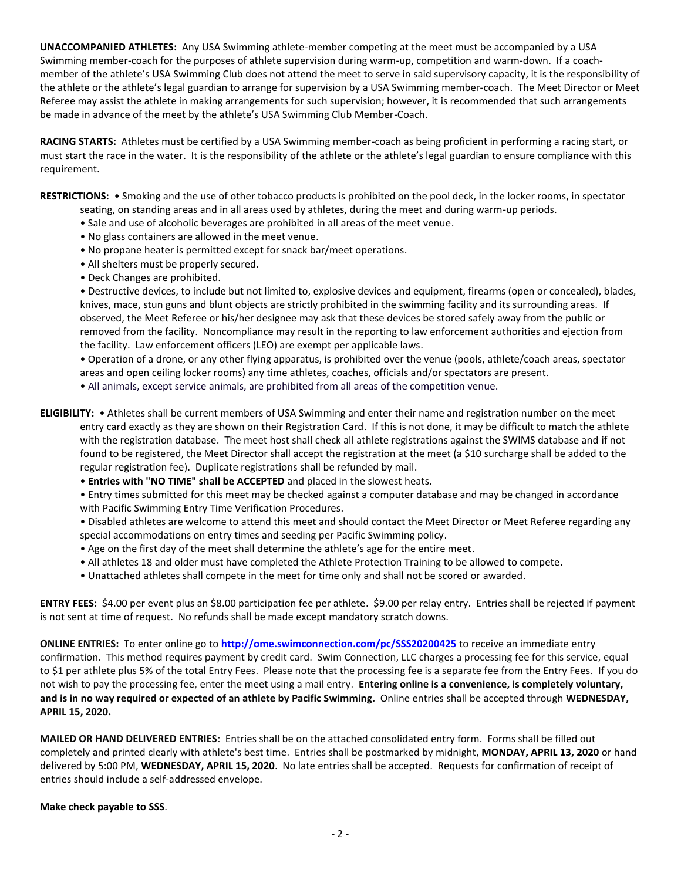**UNACCOMPANIED ATHLETES:** Any USA Swimming athlete-member competing at the meet must be accompanied by a USA Swimming member-coach for the purposes of athlete supervision during warm-up, competition and warm-down. If a coachmember of the athlete's USA Swimming Club does not attend the meet to serve in said supervisory capacity, it is the responsibility of the athlete or the athlete's legal guardian to arrange for supervision by a USA Swimming member-coach. The Meet Director or Meet Referee may assist the athlete in making arrangements for such supervision; however, it is recommended that such arrangements be made in advance of the meet by the athlete's USA Swimming Club Member-Coach.

**RACING STARTS:** Athletes must be certified by a USA Swimming member-coach as being proficient in performing a racing start, or must start the race in the water. It is the responsibility of the athlete or the athlete's legal guardian to ensure compliance with this requirement.

**RESTRICTIONS:** • Smoking and the use of other tobacco products is prohibited on the pool deck, in the locker rooms, in spectator seating, on standing areas and in all areas used by athletes, during the meet and during warm-up periods.

- Sale and use of alcoholic beverages are prohibited in all areas of the meet venue.
- No glass containers are allowed in the meet venue.
- No propane heater is permitted except for snack bar/meet operations.
- All shelters must be properly secured.
- Deck Changes are prohibited.

• Destructive devices, to include but not limited to, explosive devices and equipment, firearms (open or concealed), blades, knives, mace, stun guns and blunt objects are strictly prohibited in the swimming facility and its surrounding areas. If observed, the Meet Referee or his/her designee may ask that these devices be stored safely away from the public or removed from the facility. Noncompliance may result in the reporting to law enforcement authorities and ejection from the facility. Law enforcement officers (LEO) are exempt per applicable laws.

• Operation of a drone, or any other flying apparatus, is prohibited over the venue (pools, athlete/coach areas, spectator areas and open ceiling locker rooms) any time athletes, coaches, officials and/or spectators are present.

• All animals, except service animals, are prohibited from all areas of the competition venue.

- **ELIGIBILITY:**  Athletes shall be current members of USA Swimming and enter their name and registration number on the meet entry card exactly as they are shown on their Registration Card. If this is not done, it may be difficult to match the athlete with the registration database. The meet host shall check all athlete registrations against the SWIMS database and if not found to be registered, the Meet Director shall accept the registration at the meet (a \$10 surcharge shall be added to the regular registration fee). Duplicate registrations shall be refunded by mail.
	- **Entries with "NO TIME" shall be ACCEPTED** and placed in the slowest heats.

• Entry times submitted for this meet may be checked against a computer database and may be changed in accordance with Pacific Swimming Entry Time Verification Procedures.

- Disabled athletes are welcome to attend this meet and should contact the Meet Director or Meet Referee regarding any special accommodations on entry times and seeding per Pacific Swimming policy.
- Age on the first day of the meet shall determine the athlete's age for the entire meet.
- All athletes 18 and older must have completed the Athlete Protection Training to be allowed to compete.
- Unattached athletes shall compete in the meet for time only and shall not be scored or awarded.

**ENTRY FEES:** \$4.00 per event plus an \$8.00 participation fee per athlete. \$9.00 per relay entry. Entries shall be rejected if payment is not sent at time of request. No refunds shall be made except mandatory scratch downs.

**ONLINE ENTRIES:** To enter online go to **[http://ome.swimconnection.com/pc/SSS20200425](http://ome.swimconnection.com/pc/SSS20101005)** to receive an immediate entry confirmation. This method requires payment by credit card. Swim Connection, LLC charges a processing fee for this service, equal to \$1 per athlete plus 5% of the total Entry Fees. Please note that the processing fee is a separate fee from the Entry Fees. If you do not wish to pay the processing fee, enter the meet using a mail entry. **Entering online is a convenience, is completely voluntary, and is in no way required or expected of an athlete by Pacific Swimming.** Online entries shall be accepted through **WEDNESDAY, APRIL 15, 2020.**

**MAILED OR HAND DELIVERED ENTRIES**: Entries shall be on the attached consolidated entry form. Forms shall be filled out completely and printed clearly with athlete's best time. Entries shall be postmarked by midnight, **MONDAY, APRIL 13, 2020** or hand delivered by 5:00 PM, **WEDNESDAY, APRIL 15, 2020**. No late entries shall be accepted. Requests for confirmation of receipt of entries should include a self-addressed envelope.

**Make check payable to SSS**.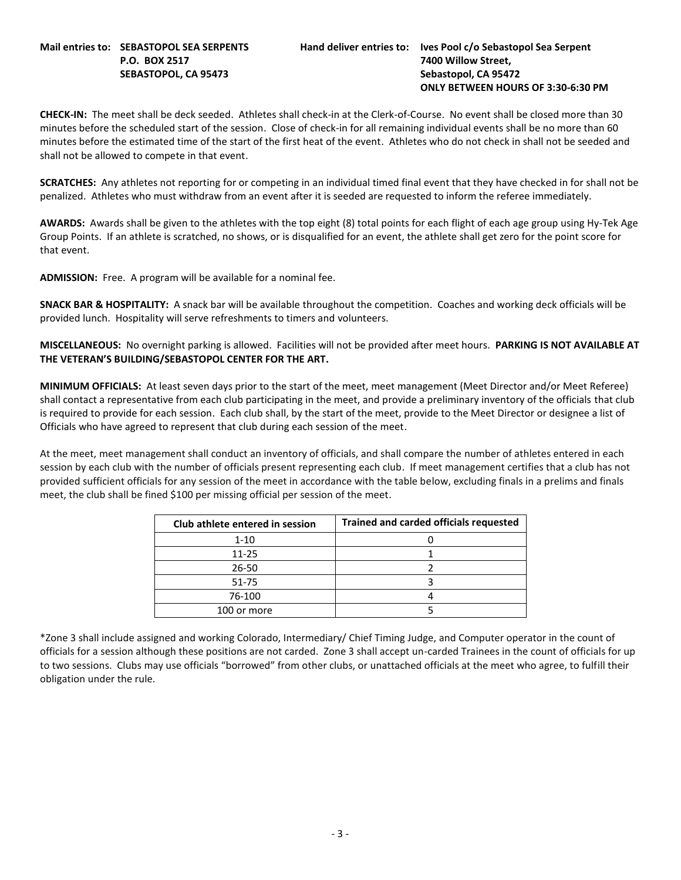#### **Mail entries to: SEBASTOPOL SEA SERPENTS Hand deliver entries to: Ives Pool c/o Sebastopol Sea Serpent P.O. BOX 2517 7400 Willow Street, SEBASTOPOL, CA 95473 Sebastopol, CA 95472**

# **ONLY BETWEEN HOURS OF 3:30-6:30 PM**

**CHECK-IN:** The meet shall be deck seeded. Athletes shall check-in at the Clerk-of-Course. No event shall be closed more than 30 minutes before the scheduled start of the session. Close of check-in for all remaining individual events shall be no more than 60 minutes before the estimated time of the start of the first heat of the event. Athletes who do not check in shall not be seeded and shall not be allowed to compete in that event.

**SCRATCHES:** Any athletes not reporting for or competing in an individual timed final event that they have checked in for shall not be penalized. Athletes who must withdraw from an event after it is seeded are requested to inform the referee immediately.

**AWARDS:** Awards shall be given to the athletes with the top eight (8) total points for each flight of each age group using Hy-Tek Age Group Points. If an athlete is scratched, no shows, or is disqualified for an event, the athlete shall get zero for the point score for that event.

**ADMISSION:** Free. A program will be available for a nominal fee.

**SNACK BAR & HOSPITALITY:** A snack bar will be available throughout the competition. Coaches and working deck officials will be provided lunch. Hospitality will serve refreshments to timers and volunteers.

**MISCELLANEOUS:** No overnight parking is allowed. Facilities will not be provided after meet hours. **PARKING IS NOT AVAILABLE AT THE VETERAN'S BUILDING/SEBASTOPOL CENTER FOR THE ART.**

**MINIMUM OFFICIALS:** At least seven days prior to the start of the meet, meet management (Meet Director and/or Meet Referee) shall contact a representative from each club participating in the meet, and provide a preliminary inventory of the officials that club is required to provide for each session. Each club shall, by the start of the meet, provide to the Meet Director or designee a list of Officials who have agreed to represent that club during each session of the meet.

At the meet, meet management shall conduct an inventory of officials, and shall compare the number of athletes entered in each session by each club with the number of officials present representing each club. If meet management certifies that a club has not provided sufficient officials for any session of the meet in accordance with the table below, excluding finals in a prelims and finals meet, the club shall be fined \$100 per missing official per session of the meet.

| Club athlete entered in session | <b>Trained and carded officials requested</b> |
|---------------------------------|-----------------------------------------------|
| $1 - 10$                        |                                               |
| $11 - 25$                       |                                               |
| 26-50                           |                                               |
| 51-75                           |                                               |
| 76-100                          |                                               |
| 100 or more                     |                                               |

\*Zone 3 shall include assigned and working Colorado, Intermediary/ Chief Timing Judge, and Computer operator in the count of officials for a session although these positions are not carded. Zone 3 shall accept un-carded Trainees in the count of officials for up to two sessions. Clubs may use officials "borrowed" from other clubs, or unattached officials at the meet who agree, to fulfill their obligation under the rule.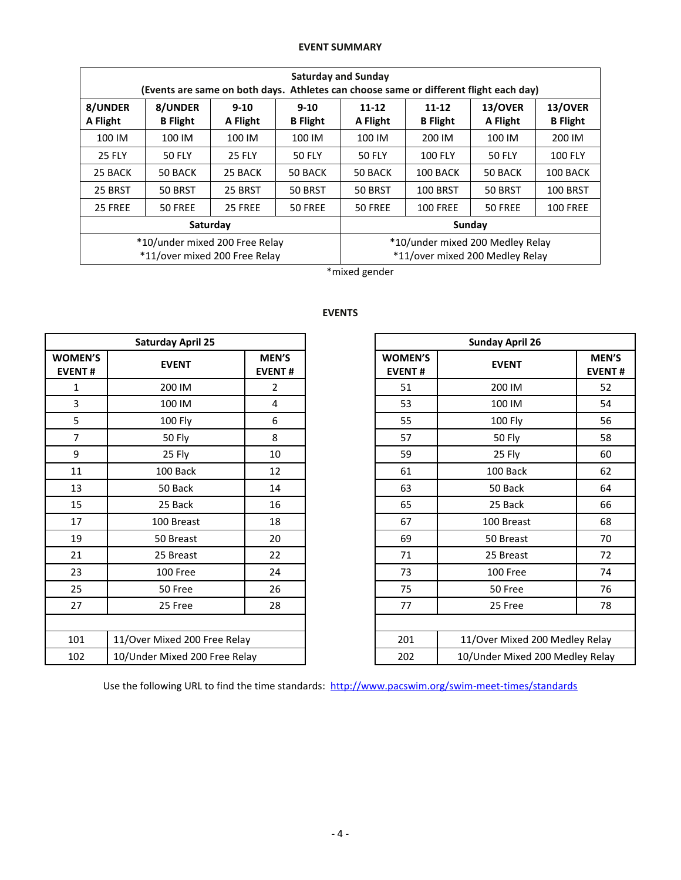# **EVENT SUMMARY**

| <b>Saturday and Sunday</b><br>(Events are same on both days. Athletes can choose same or different flight each day) |                                                                 |                      |                             |                                                                     |                          |                     |                            |  |  |  |
|---------------------------------------------------------------------------------------------------------------------|-----------------------------------------------------------------|----------------------|-----------------------------|---------------------------------------------------------------------|--------------------------|---------------------|----------------------------|--|--|--|
| 8/UNDER<br>A Flight                                                                                                 | 8/UNDER<br><b>B</b> Flight                                      | $9 - 10$<br>A Flight | $9 - 10$<br><b>B</b> Flight | $11 - 12$<br>A Flight                                               | 11-12<br><b>B</b> Flight | 13/OVER<br>A Flight | 13/OVER<br><b>B</b> Flight |  |  |  |
| 100 IM                                                                                                              | 100 IM                                                          | 100 IM               | 100 IM                      | 100 IM                                                              | 200 IM                   | 100 IM              | 200 IM                     |  |  |  |
| <b>25 FLY</b>                                                                                                       | <b>50 FLY</b>                                                   | <b>25 FLY</b>        | <b>50 FLY</b>               | <b>50 FLY</b>                                                       | <b>100 FLY</b>           | <b>50 FLY</b>       | <b>100 FLY</b>             |  |  |  |
| 25 BACK                                                                                                             | 50 BACK                                                         | 25 BACK              | 50 BACK                     | 50 BACK                                                             | 100 BACK                 | 50 BACK             | 100 BACK                   |  |  |  |
| 25 BRST                                                                                                             | 50 BRST                                                         | 25 BRST              | 50 BRST                     | 50 BRST<br><b>100 BRST</b>                                          |                          | 50 BRST             | <b>100 BRST</b>            |  |  |  |
| 25 FREE                                                                                                             | 50 FREE                                                         | 25 FREE              | 50 FREE                     | 50 FREE<br><b>100 FREE</b>                                          |                          | 50 FREE             | <b>100 FREE</b>            |  |  |  |
|                                                                                                                     | Saturday                                                        |                      |                             | Sunday                                                              |                          |                     |                            |  |  |  |
|                                                                                                                     | *10/under mixed 200 Free Relay<br>*11/over mixed 200 Free Relay |                      |                             | *10/under mixed 200 Medley Relay<br>*11/over mixed 200 Medley Relay |                          |                     |                            |  |  |  |

\*mixed gender

|                                 | <b>Saturday April 25</b>      |                        |                                 | <b>Sunday April 26</b>          |                           |  |
|---------------------------------|-------------------------------|------------------------|---------------------------------|---------------------------------|---------------------------|--|
| <b>WOMEN'S</b><br><b>EVENT#</b> | <b>EVENT</b>                  | MEN'S<br><b>EVENT#</b> | <b>WOMEN'S</b><br><b>EVENT#</b> | <b>EVENT</b>                    | <b>MEN</b><br><b>EVEN</b> |  |
| 1                               | 200 IM                        | $\overline{2}$         | 51                              | 200 IM                          | 52                        |  |
| 3                               | 100 IM                        | 4                      | 53                              | 100 IM                          | 54                        |  |
| 5                               | <b>100 Fly</b>                | 6                      | 55                              | 100 Fly                         | 56                        |  |
| $\overline{7}$                  | 50 Fly                        | 8                      | 57                              | <b>50 Fly</b>                   | 58                        |  |
| 9                               | 25 Fly                        | 10                     | 59                              | 25 Fly                          | 60                        |  |
| 11                              | 100 Back                      | 12                     | 61                              | 100 Back                        | 62                        |  |
| 13                              | 50 Back                       | 14                     | 63                              | 50 Back                         | 64                        |  |
| 15                              | 25 Back                       | 16                     | 65                              | 25 Back                         | 66                        |  |
| 17                              | 100 Breast                    | 18                     | 67                              | 100 Breast                      | 68                        |  |
| 19                              | 50 Breast                     | 20                     | 69                              | 50 Breast                       | 70                        |  |
| 21                              | 25 Breast                     | 22                     | 71                              | 25 Breast                       | 72                        |  |
| 23                              | 100 Free                      | 24                     | 73                              | 100 Free                        | 74                        |  |
| 25                              | 50 Free                       | 26                     | 75                              | 50 Free                         | 76                        |  |
| 27                              | 25 Free                       | 28                     | 77                              | 25 Free                         | 78                        |  |
|                                 |                               |                        |                                 |                                 |                           |  |
| 101                             | 11/Over Mixed 200 Free Relay  |                        | 201                             | 11/Over Mixed 200 Medley Relay  |                           |  |
| 102                             | 10/Under Mixed 200 Free Relay |                        | 202                             | 10/Under Mixed 200 Medley Relay |                           |  |

# **EVENTS**

|                             | <b>Saturday April 25</b>      |                        |                                 | <b>Sunday April 26</b>          |                        |
|-----------------------------|-------------------------------|------------------------|---------------------------------|---------------------------------|------------------------|
| <b>MEN'S</b><br><b>ENT#</b> | <b>EVENT</b>                  | MEN'S<br><b>EVENT#</b> | <b>WOMEN'S</b><br><b>EVENT#</b> | <b>EVENT</b>                    | MEN'S<br><b>EVENT#</b> |
| $\mathbf{1}$                | 200 IM                        | 2                      | 51                              | 200 IM                          | 52                     |
| $\overline{3}$              | 100 IM                        | 4                      | 53                              | 100 IM                          | 54                     |
| 5                           | 100 Fly                       | 6                      | 55                              | 100 Fly                         | 56                     |
| $\overline{7}$              | <b>50 Fly</b>                 | 8                      | 57                              | <b>50 Fly</b>                   | 58                     |
| 9                           | 25 Fly                        | 10                     | 59                              | 25 Fly                          | 60                     |
| $11\,$                      | 100 Back                      | 12                     | 61                              | 100 Back                        | 62                     |
| 13                          | 50 Back                       | 14                     | 63                              | 50 Back                         | 64                     |
| 15                          | 25 Back                       | 16                     | 65                              | 25 Back                         | 66                     |
| 17                          | 100 Breast                    | 18                     | 67                              | 100 Breast                      | 68                     |
| 19                          | 50 Breast                     | 20                     | 69                              | 50 Breast                       | 70                     |
| 21                          | 25 Breast                     | 22                     | 71                              | 25 Breast                       | 72                     |
| 23                          | 100 Free                      | 24                     | 73                              | 100 Free                        | 74                     |
| 25                          | 50 Free                       | 26                     | 75                              | 50 Free                         | 76                     |
| 27                          | 25 Free                       | 28                     | 77                              | 25 Free                         | 78                     |
|                             |                               |                        |                                 |                                 |                        |
| 101                         | 11/Over Mixed 200 Free Relay  |                        | 201                             | 11/Over Mixed 200 Medley Relay  |                        |
| 102                         | 10/Under Mixed 200 Free Relay |                        | 202                             | 10/Under Mixed 200 Medley Relay |                        |

Use the following URL to find the time standards: <http://www.pacswim.org/swim-meet-times/standards>